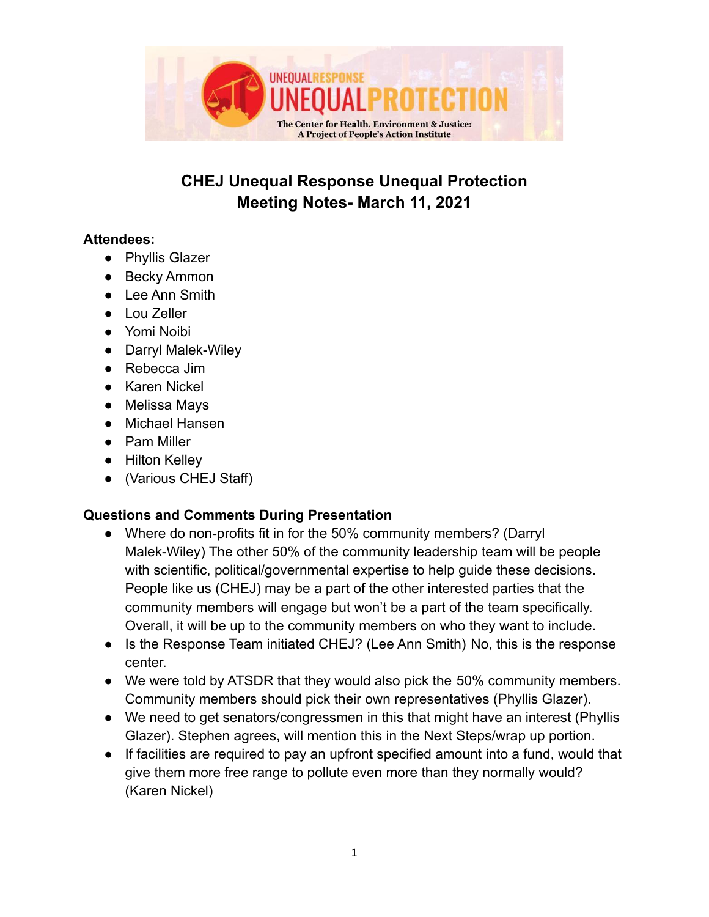

# **CHEJ Unequal Response Unequal Protection Meeting Notes- March 11, 2021**

#### **Attendees:**

- Phyllis Glazer
- Becky Ammon
- Lee Ann Smith
- Lou Zeller
- Yomi Noibi
- Darryl Malek-Wiley
- Rebecca Jim
- Karen Nickel
- Melissa Mays
- Michael Hansen
- Pam Miller
- Hilton Kelley
- (Various CHEJ Staff)

# **Questions and Comments During Presentation**

- Where do non-profits fit in for the 50% community members? (Darryl Malek-Wiley) The other 50% of the community leadership team will be people with scientific, political/governmental expertise to help guide these decisions. People like us (CHEJ) may be a part of the other interested parties that the community members will engage but won't be a part of the team specifically. Overall, it will be up to the community members on who they want to include.
- Is the Response Team initiated CHEJ? (Lee Ann Smith) No, this is the response center.
- We were told by ATSDR that they would also pick the 50% community members. Community members should pick their own representatives (Phyllis Glazer).
- We need to get senators/congressmen in this that might have an interest (Phyllis Glazer). Stephen agrees, will mention this in the Next Steps/wrap up portion.
- If facilities are required to pay an upfront specified amount into a fund, would that give them more free range to pollute even more than they normally would? (Karen Nickel)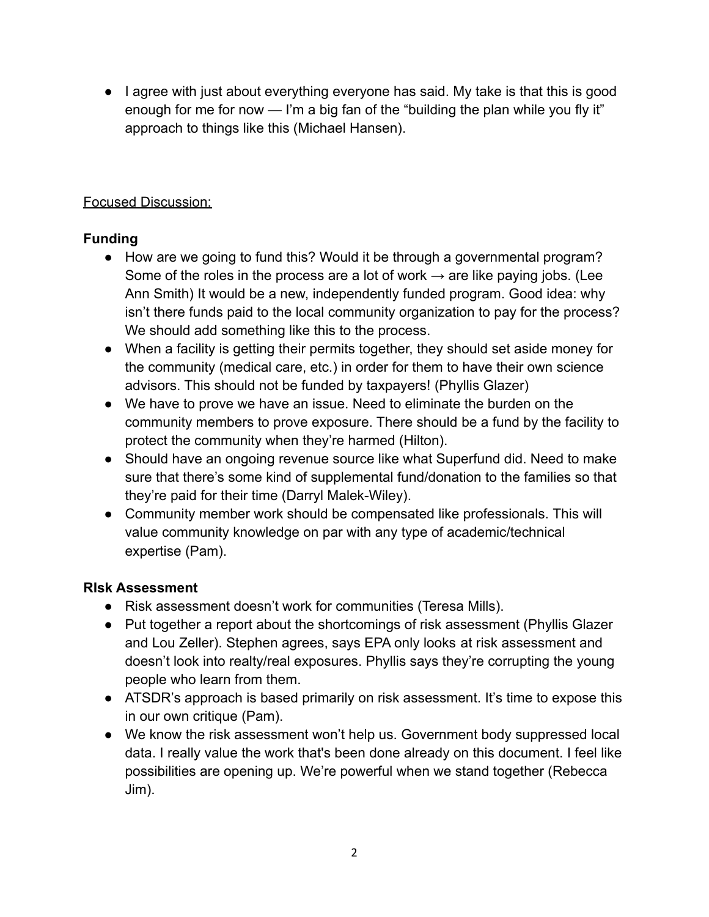● I agree with just about everything everyone has said. My take is that this is good enough for me for now — I'm a big fan of the "building the plan while you fly it" approach to things like this (Michael Hansen).

# Focused Discussion:

# **Funding**

- How are we going to fund this? Would it be through a governmental program? Some of the roles in the process are a lot of work  $\rightarrow$  are like paying jobs. (Lee Ann Smith) It would be a new, independently funded program. Good idea: why isn't there funds paid to the local community organization to pay for the process? We should add something like this to the process.
- When a facility is getting their permits together, they should set aside money for the community (medical care, etc.) in order for them to have their own science advisors. This should not be funded by taxpayers! (Phyllis Glazer)
- We have to prove we have an issue. Need to eliminate the burden on the community members to prove exposure. There should be a fund by the facility to protect the community when they're harmed (Hilton).
- Should have an ongoing revenue source like what Superfund did. Need to make sure that there's some kind of supplemental fund/donation to the families so that they're paid for their time (Darryl Malek-Wiley).
- Community member work should be compensated like professionals. This will value community knowledge on par with any type of academic/technical expertise (Pam).

# **RIsk Assessment**

- Risk assessment doesn't work for communities (Teresa Mills).
- Put together a report about the shortcomings of risk assessment (Phyllis Glazer and Lou Zeller). Stephen agrees, says EPA only looks at risk assessment and doesn't look into realty/real exposures. Phyllis says they're corrupting the young people who learn from them.
- ATSDR's approach is based primarily on risk assessment. It's time to expose this in our own critique (Pam).
- We know the risk assessment won't help us. Government body suppressed local data. I really value the work that's been done already on this document. I feel like possibilities are opening up. We're powerful when we stand together (Rebecca Jim).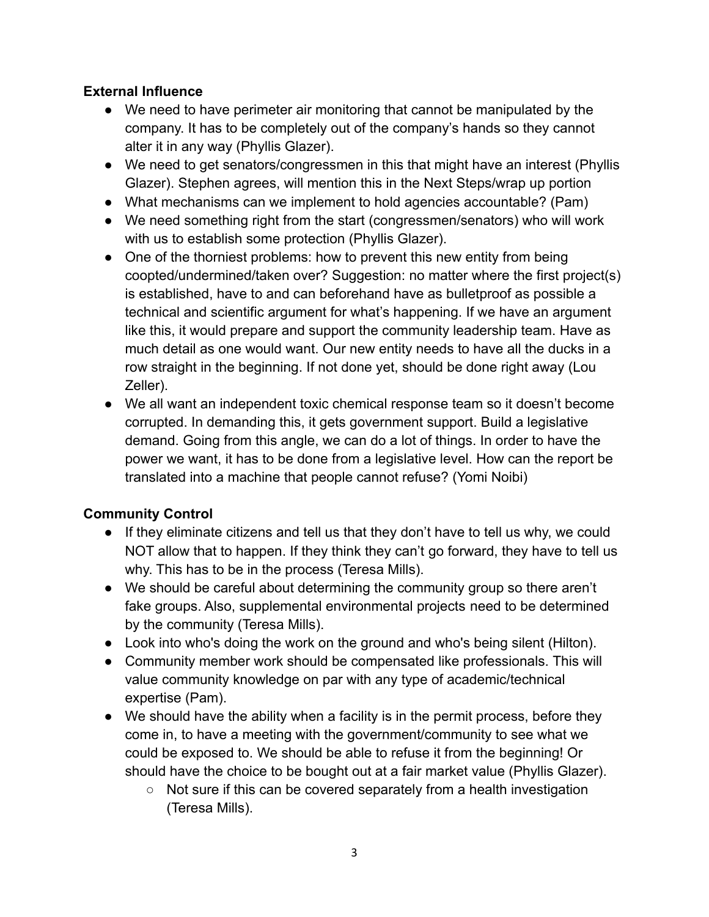#### **External Influence**

- We need to have perimeter air monitoring that cannot be manipulated by the company. It has to be completely out of the company's hands so they cannot alter it in any way (Phyllis Glazer).
- We need to get senators/congressmen in this that might have an interest (Phyllis Glazer). Stephen agrees, will mention this in the Next Steps/wrap up portion
- What mechanisms can we implement to hold agencies accountable? (Pam)
- We need something right from the start (congressmen/senators) who will work with us to establish some protection (Phyllis Glazer).
- One of the thorniest problems: how to prevent this new entity from being coopted/undermined/taken over? Suggestion: no matter where the first project(s) is established, have to and can beforehand have as bulletproof as possible a technical and scientific argument for what's happening. If we have an argument like this, it would prepare and support the community leadership team. Have as much detail as one would want. Our new entity needs to have all the ducks in a row straight in the beginning. If not done yet, should be done right away (Lou Zeller).
- We all want an independent toxic chemical response team so it doesn't become corrupted. In demanding this, it gets government support. Build a legislative demand. Going from this angle, we can do a lot of things. In order to have the power we want, it has to be done from a legislative level. How can the report be translated into a machine that people cannot refuse? (Yomi Noibi)

# **Community Control**

- If they eliminate citizens and tell us that they don't have to tell us why, we could NOT allow that to happen. If they think they can't go forward, they have to tell us why. This has to be in the process (Teresa Mills).
- We should be careful about determining the community group so there aren't fake groups. Also, supplemental environmental projects need to be determined by the community (Teresa Mills).
- Look into who's doing the work on the ground and who's being silent (Hilton).
- Community member work should be compensated like professionals. This will value community knowledge on par with any type of academic/technical expertise (Pam).
- We should have the ability when a facility is in the permit process, before they come in, to have a meeting with the government/community to see what we could be exposed to. We should be able to refuse it from the beginning! Or should have the choice to be bought out at a fair market value (Phyllis Glazer).
	- Not sure if this can be covered separately from a health investigation (Teresa Mills).